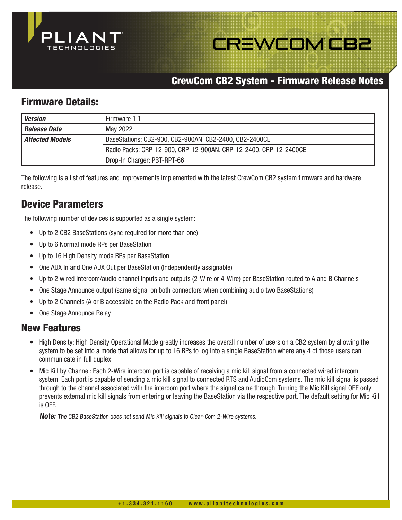

# **CREWCOM CB2**

## CrewCom CB2 System - Firmware Release Notes

## Firmware Details:

| <b>Version</b>         | Firmware 1.1                                                      |
|------------------------|-------------------------------------------------------------------|
| Release Date           | May 2022                                                          |
| <b>Affected Models</b> | BaseStations: CB2-900, CB2-900AN, CB2-2400, CB2-2400CE            |
|                        | Radio Packs: CRP-12-900, CRP-12-900AN, CRP-12-2400, CRP-12-2400CE |
|                        | Drop-In Charger: PBT-RPT-66                                       |

The following is a list of features and improvements implemented with the latest CrewCom CB2 system firmware and hardware release.

# Device Parameters

The following number of devices is supported as a single system:

- Up to 2 CB2 BaseStations (sync required for more than one)
- Up to 6 Normal mode RPs per BaseStation
- Up to 16 High Density mode RPs per BaseStation
- One AUX In and One AUX Out per BaseStation (Independently assignable)
- Up to 2 wired intercom/audio channel inputs and outputs (2-Wire or 4-Wire) per BaseStation routed to A and B Channels
- One Stage Announce output (same signal on both connectors when combining audio two BaseStations)
- Up to 2 Channels (A or B accessible on the Radio Pack and front panel)
- One Stage Announce Relay

#### New Features

- High Density: High Density Operational Mode greatly increases the overall number of users on a CB2 system by allowing the system to be set into a mode that allows for up to 16 RPs to log into a single BaseStation where any 4 of those users can communicate in full duplex.
- Mic Kill by Channel: Each 2-Wire intercom port is capable of receiving a mic kill signal from a connected wired intercom system. Each port is capable of sending a mic kill signal to connected RTS and AudioCom systems. The mic kill signal is passed through to the channel associated with the intercom port where the signal came through. Turning the Mic Kill signal OFF only prevents external mic kill signals from entering or leaving the BaseStation via the respective port. The default setting for Mic Kill is OFF.

**Note:** The CB2 BaseStation does not send Mic Kill signals to Clear-Com 2-Wire systems.